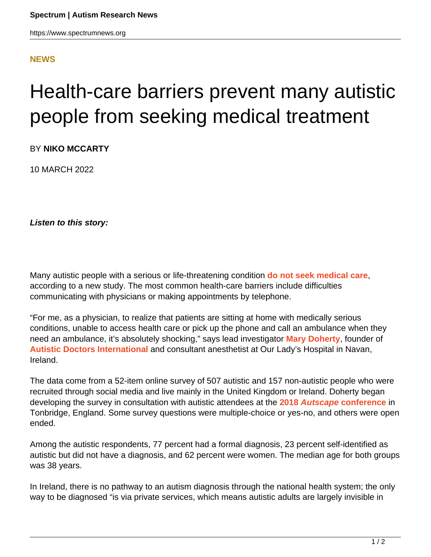## **[NEWS](HTTPS://WWW.SPECTRUMNEWS.ORG/NEWS/)**

## Health-care barriers prevent many autistic people from seeking medical treatment

BY **NIKO MCCARTY**

10 MARCH 2022

**Listen to this story:**

Many autistic people with a serious or life-threatening condition **[do not seek medical care](http://doi.org/10.1136/bmjopen-2021-056904)**, according to a new study. The most common health-care barriers include difficulties communicating with physicians or making appointments by telephone.

"For me, as a physician, to realize that patients are sitting at home with medically serious conditions, unable to access health care or pick up the phone and call an ambulance when they need an ambulance, it's absolutely shocking," says lead investigator **[Mary Doherty](https://www.rcplondon.ac.uk/news/doctor-can-autistic-doctor)**, founder of **[Autistic Doctors International](https://linktr.ee/autisticdoctors)** and consultant anesthetist at Our Lady's Hospital in Navan, Ireland.

The data come from a 52-item online survey of 507 autistic and 157 non-autistic people who were recruited through social media and live mainly in the United Kingdom or Ireland. Doherty began developing the survey in consultation with autistic attendees at the **[2018](http://www.autscape.org/2018/) [Autscape](http://www.autscape.org/2018/) [conference](http://www.autscape.org/2018/)** in Tonbridge, England. Some survey questions were multiple-choice or yes-no, and others were open ended.

Among the autistic respondents, 77 percent had a formal diagnosis, 23 percent self-identified as autistic but did not have a diagnosis, and 62 percent were women. The median age for both groups was 38 years.

In Ireland, there is no pathway to an autism diagnosis through the national health system; the only way to be diagnosed "is via private services, which means autistic adults are largely invisible in